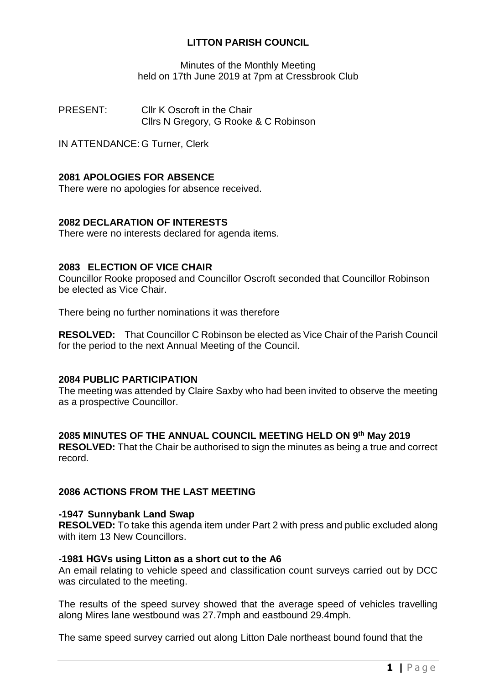# **LITTON PARISH COUNCIL**

Minutes of the Monthly Meeting held on 17th June 2019 at 7pm at Cressbrook Club

PRESENT: Cllr K Oscroft in the Chair Cllrs N Gregory, G Rooke & C Robinson

IN ATTENDANCE: G Turner, Clerk

# **2081 APOLOGIES FOR ABSENCE**

There were no apologies for absence received.

## **2082 DECLARATION OF INTERESTS**

There were no interests declared for agenda items.

## **2083 ELECTION OF VICE CHAIR**

Councillor Rooke proposed and Councillor Oscroft seconded that Councillor Robinson be elected as Vice Chair.

There being no further nominations it was therefore

**RESOLVED:** That Councillor C Robinson be elected as Vice Chair of the Parish Council for the period to the next Annual Meeting of the Council.

## **2084 PUBLIC PARTICIPATION**

The meeting was attended by Claire Saxby who had been invited to observe the meeting as a prospective Councillor.

## **2085 MINUTES OF THE ANNUAL COUNCIL MEETING HELD ON 9 th May 2019**

**RESOLVED:** That the Chair be authorised to sign the minutes as being a true and correct record.

## **2086 ACTIONS FROM THE LAST MEETING**

#### **-1947 Sunnybank Land Swap**

**RESOLVED:** To take this agenda item under Part 2 with press and public excluded along with item 13 New Councillors.

#### **-1981 HGVs using Litton as a short cut to the A6**

An email relating to vehicle speed and classification count surveys carried out by DCC was circulated to the meeting.

The results of the speed survey showed that the average speed of vehicles travelling along Mires lane westbound was 27.7mph and eastbound 29.4mph.

The same speed survey carried out along Litton Dale northeast bound found that the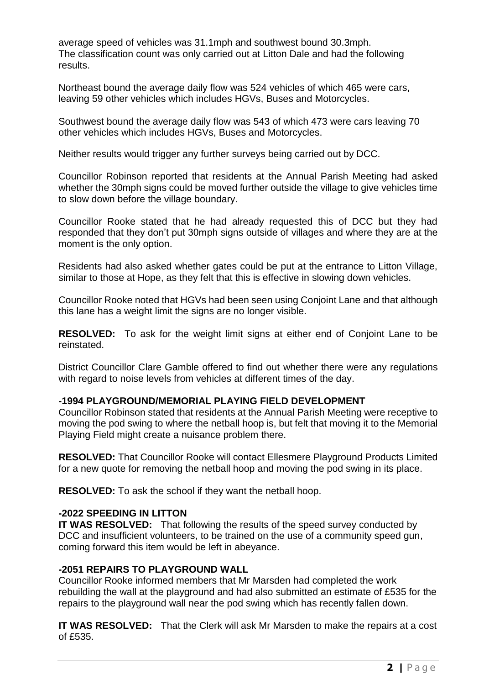average speed of vehicles was 31.1mph and southwest bound 30.3mph. The classification count was only carried out at Litton Dale and had the following results.

Northeast bound the average daily flow was 524 vehicles of which 465 were cars, leaving 59 other vehicles which includes HGVs, Buses and Motorcycles.

Southwest bound the average daily flow was 543 of which 473 were cars leaving 70 other vehicles which includes HGVs, Buses and Motorcycles.

Neither results would trigger any further surveys being carried out by DCC.

Councillor Robinson reported that residents at the Annual Parish Meeting had asked whether the 30mph signs could be moved further outside the village to give vehicles time to slow down before the village boundary.

Councillor Rooke stated that he had already requested this of DCC but they had responded that they don't put 30mph signs outside of villages and where they are at the moment is the only option.

Residents had also asked whether gates could be put at the entrance to Litton Village, similar to those at Hope, as they felt that this is effective in slowing down vehicles.

Councillor Rooke noted that HGVs had been seen using Conjoint Lane and that although this lane has a weight limit the signs are no longer visible.

**RESOLVED:** To ask for the weight limit signs at either end of Conjoint Lane to be reinstated.

District Councillor Clare Gamble offered to find out whether there were any regulations with regard to noise levels from vehicles at different times of the day.

## **-1994 PLAYGROUND/MEMORIAL PLAYING FIELD DEVELOPMENT**

Councillor Robinson stated that residents at the Annual Parish Meeting were receptive to moving the pod swing to where the netball hoop is, but felt that moving it to the Memorial Playing Field might create a nuisance problem there.

**RESOLVED:** That Councillor Rooke will contact Ellesmere Playground Products Limited for a new quote for removing the netball hoop and moving the pod swing in its place.

**RESOLVED:** To ask the school if they want the netball hoop.

## **-2022 SPEEDING IN LITTON**

**IT WAS RESOLVED:** That following the results of the speed survey conducted by DCC and insufficient volunteers, to be trained on the use of a community speed gun, coming forward this item would be left in abeyance.

#### **-2051 REPAIRS TO PLAYGROUND WALL**

Councillor Rooke informed members that Mr Marsden had completed the work rebuilding the wall at the playground and had also submitted an estimate of £535 for the repairs to the playground wall near the pod swing which has recently fallen down.

**IT WAS RESOLVED:** That the Clerk will ask Mr Marsden to make the repairs at a cost of £535.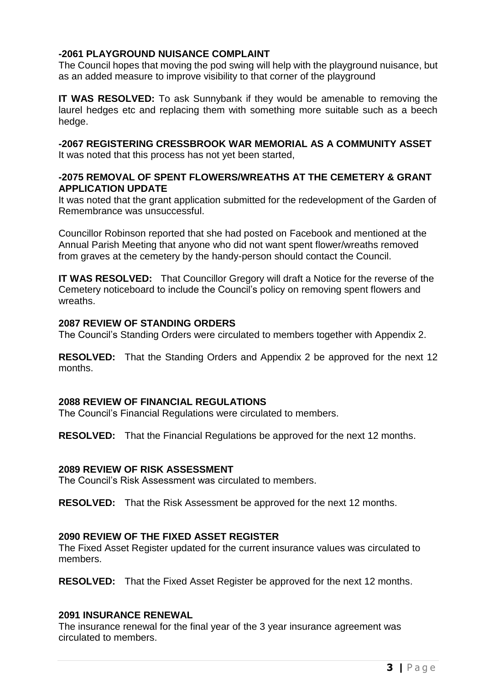# **-2061 PLAYGROUND NUISANCE COMPLAINT**

The Council hopes that moving the pod swing will help with the playground nuisance, but as an added measure to improve visibility to that corner of the playground

**IT WAS RESOLVED:** To ask Sunnybank if they would be amenable to removing the laurel hedges etc and replacing them with something more suitable such as a beech hedge.

### **-2067 REGISTERING CRESSBROOK WAR MEMORIAL AS A COMMUNITY ASSET**

It was noted that this process has not yet been started,

## **-2075 REMOVAL OF SPENT FLOWERS/WREATHS AT THE CEMETERY & GRANT APPLICATION UPDATE**

It was noted that the grant application submitted for the redevelopment of the Garden of Remembrance was unsuccessful.

Councillor Robinson reported that she had posted on Facebook and mentioned at the Annual Parish Meeting that anyone who did not want spent flower/wreaths removed from graves at the cemetery by the handy-person should contact the Council.

**IT WAS RESOLVED:** That Councillor Gregory will draft a Notice for the reverse of the Cemetery noticeboard to include the Council's policy on removing spent flowers and wreaths.

### **2087 REVIEW OF STANDING ORDERS**

The Council's Standing Orders were circulated to members together with Appendix 2.

**RESOLVED:** That the Standing Orders and Appendix 2 be approved for the next 12 months.

## **2088 REVIEW OF FINANCIAL REGULATIONS**

The Council's Financial Regulations were circulated to members.

**RESOLVED:** That the Financial Regulations be approved for the next 12 months.

#### **2089 REVIEW OF RISK ASSESSMENT**

The Council's Risk Assessment was circulated to members.

**RESOLVED:** That the Risk Assessment be approved for the next 12 months.

## **2090 REVIEW OF THE FIXED ASSET REGISTER**

The Fixed Asset Register updated for the current insurance values was circulated to members.

**RESOLVED:** That the Fixed Asset Register be approved for the next 12 months.

#### **2091 INSURANCE RENEWAL**

The insurance renewal for the final year of the 3 year insurance agreement was circulated to members.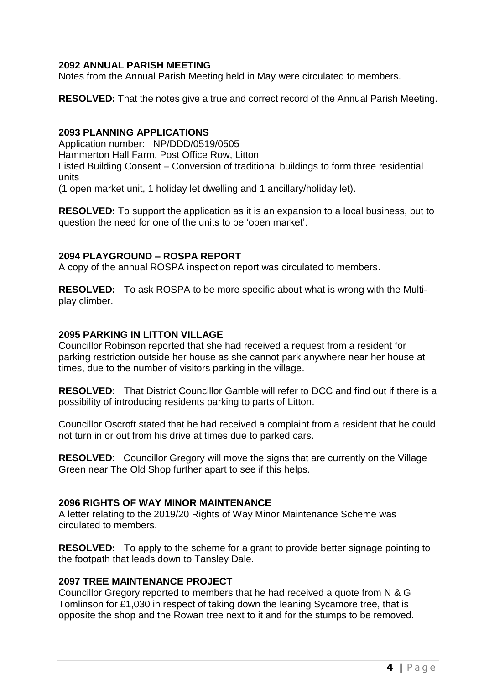# **2092 ANNUAL PARISH MEETING**

Notes from the Annual Parish Meeting held in May were circulated to members.

**RESOLVED:** That the notes give a true and correct record of the Annual Parish Meeting.

### **2093 PLANNING APPLICATIONS**

Application number: NP/DDD/0519/0505 Hammerton Hall Farm, Post Office Row, Litton Listed Building Consent – Conversion of traditional buildings to form three residential units

(1 open market unit, 1 holiday let dwelling and 1 ancillary/holiday let).

**RESOLVED:** To support the application as it is an expansion to a local business, but to question the need for one of the units to be 'open market'.

### **2094 PLAYGROUND – ROSPA REPORT**

A copy of the annual ROSPA inspection report was circulated to members.

**RESOLVED:** To ask ROSPA to be more specific about what is wrong with the Multiplay climber.

## **2095 PARKING IN LITTON VILLAGE**

Councillor Robinson reported that she had received a request from a resident for parking restriction outside her house as she cannot park anywhere near her house at times, due to the number of visitors parking in the village.

**RESOLVED:** That District Councillor Gamble will refer to DCC and find out if there is a possibility of introducing residents parking to parts of Litton.

Councillor Oscroft stated that he had received a complaint from a resident that he could not turn in or out from his drive at times due to parked cars.

**RESOLVED**: Councillor Gregory will move the signs that are currently on the Village Green near The Old Shop further apart to see if this helps.

## **2096 RIGHTS OF WAY MINOR MAINTENANCE**

A letter relating to the 2019/20 Rights of Way Minor Maintenance Scheme was circulated to members.

**RESOLVED:** To apply to the scheme for a grant to provide better signage pointing to the footpath that leads down to Tansley Dale.

## **2097 TREE MAINTENANCE PROJECT**

Councillor Gregory reported to members that he had received a quote from N & G Tomlinson for £1,030 in respect of taking down the leaning Sycamore tree, that is opposite the shop and the Rowan tree next to it and for the stumps to be removed.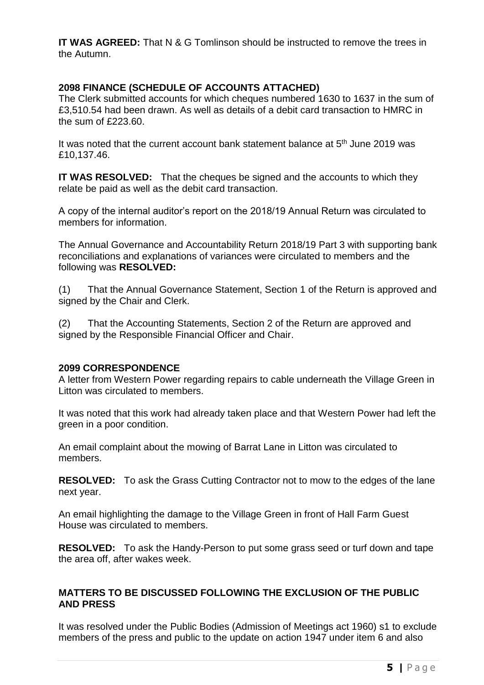**IT WAS AGREED:** That N & G Tomlinson should be instructed to remove the trees in the Autumn.

# **2098 FINANCE (SCHEDULE OF ACCOUNTS ATTACHED)**

The Clerk submitted accounts for which cheques numbered 1630 to 1637 in the sum of £3,510.54 had been drawn. As well as details of a debit card transaction to HMRC in the sum of £223.60.

It was noted that the current account bank statement balance at 5<sup>th</sup> June 2019 was £10,137.46.

**IT WAS RESOLVED:** That the cheques be signed and the accounts to which they relate be paid as well as the debit card transaction.

A copy of the internal auditor's report on the 2018/19 Annual Return was circulated to members for information.

The Annual Governance and Accountability Return 2018/19 Part 3 with supporting bank reconciliations and explanations of variances were circulated to members and the following was **RESOLVED:**

(1) That the Annual Governance Statement, Section 1 of the Return is approved and signed by the Chair and Clerk.

(2) That the Accounting Statements, Section 2 of the Return are approved and signed by the Responsible Financial Officer and Chair.

## **2099 CORRESPONDENCE**

A letter from Western Power regarding repairs to cable underneath the Village Green in Litton was circulated to members.

It was noted that this work had already taken place and that Western Power had left the green in a poor condition.

An email complaint about the mowing of Barrat Lane in Litton was circulated to members.

**RESOLVED:** To ask the Grass Cutting Contractor not to mow to the edges of the lane next year.

An email highlighting the damage to the Village Green in front of Hall Farm Guest House was circulated to members.

**RESOLVED:** To ask the Handy-Person to put some grass seed or turf down and tape the area off, after wakes week.

# **MATTERS TO BE DISCUSSED FOLLOWING THE EXCLUSION OF THE PUBLIC AND PRESS**

It was resolved under the Public Bodies (Admission of Meetings act 1960) s1 to exclude members of the press and public to the update on action 1947 under item 6 and also